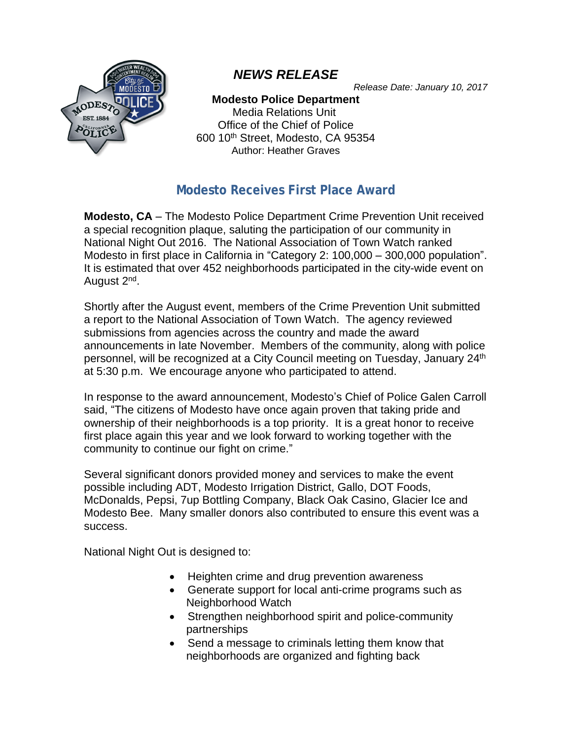

# *NEWS RELEASE*

*Release Date: January 10, 2017*

#### **Modesto Police Department**

Media Relations Unit Office of the Chief of Police 600 10th Street, Modesto, CA 95354 Author: Heather Graves

## **Modesto Receives First Place Award**

**Modesto, CA** – The Modesto Police Department Crime Prevention Unit received a special recognition plaque, saluting the participation of our community in National Night Out 2016. The National Association of Town Watch ranked Modesto in first place in California in "Category 2: 100,000 – 300,000 population". It is estimated that over 452 neighborhoods participated in the city-wide event on August 2<sup>nd</sup>.

Shortly after the August event, members of the Crime Prevention Unit submitted a report to the National Association of Town Watch. The agency reviewed submissions from agencies across the country and made the award announcements in late November. Members of the community, along with police personnel, will be recognized at a City Council meeting on Tuesday, January 24<sup>th</sup> at 5:30 p.m. We encourage anyone who participated to attend.

In response to the award announcement, Modesto's Chief of Police Galen Carroll said, "The citizens of Modesto have once again proven that taking pride and ownership of their neighborhoods is a top priority. It is a great honor to receive first place again this year and we look forward to working together with the community to continue our fight on crime."

Several significant donors provided money and services to make the event possible including ADT, Modesto Irrigation District, Gallo, DOT Foods, McDonalds, Pepsi, 7up Bottling Company, Black Oak Casino, Glacier Ice and Modesto Bee. Many smaller donors also contributed to ensure this event was a success.

National Night Out is designed to:

- Heighten crime and drug prevention awareness
- Generate support for local anti-crime programs such as Neighborhood Watch
- Strengthen neighborhood spirit and police-community partnerships
- Send a message to criminals letting them know that neighborhoods are organized and fighting back